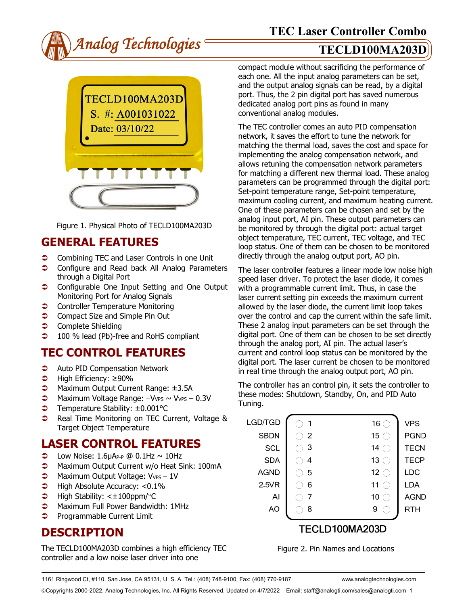



Figure 1. Physical Photo of TECLD100MA203D

## **GENERAL FEATURES**

- **Combining TEC and Laser Controls in one Unit**
- **Configure and Read back All Analog Parameters** through a Digital Port
- **Configurable One Input Setting and One Output** Monitoring Port for Analog Signals
- **Controller Temperature Monitoring**
- **◯** Compact Size and Simple Pin Out
- **Complete Shielding**
- **→** 100 % lead (Pb)-free and RoHS compliant

# **TEC CONTROL FEATURES**

- **C** Auto PID Compensation Network
- High Efficiency: ≥90%
- Maximum Output Current Range: ±3.5A
- Maximum Voltage Range: −VVPS ~ VVPS 0.3V
- Temperature Stability: ±0.001°C
- **●** Real Time Monitoring on TEC Current, Voltage & Target Object Temperature

## **LASER CONTROL FEATURES**

- $\bullet$  Low Noise: 1.6µAP-P @ 0.1Hz ~ 10Hz
- **C** Maximum Output Current w/o Heat Sink: 100mA
- → Maximum Output Voltage: V<sub>VPS</sub> 1V
- $\blacktriangleright$  High Absolute Accuracy: <0.1%
- $\blacktriangleright$  High Stability: < $\pm$ 100ppm/°C
- **C** Maximum Full Power Bandwidth: 1MHz
- **Programmable Current Limit**

## **DESCRIPTION**

The TECLD100MA203D combines a high efficiency TEC controller and a low noise laser driver into one

compact module without sacrificing the performance of each one. All the input analog parameters can be set, and the output analog signals can be read, by a digital port. Thus, the 2 pin digital port has saved numerous dedicated analog port pins as found in many conventional analog modules.

The TEC controller comes an auto PID compensation network, it saves the effort to tune the network for matching the thermal load, saves the cost and space for implementing the analog compensation network, and allows retuning the compensation network parameters for matching a different new thermal load. These analog parameters can be programmed through the digital port: Set-point temperature range, Set-point temperature, maximum cooling current, and maximum heating current. One of these parameters can be chosen and set by the analog input port, AI pin. These output parameters can be monitored by through the digital port: actual target object temperature, TEC current, TEC voltage, and TEC loop status. One of them can be chosen to be monitored directly through the analog output port, AO pin.

The laser controller features a linear mode low noise high speed laser driver. To protect the laser diode, it comes with a programmable current limit. Thus, in case the laser current setting pin exceeds the maximum current allowed by the laser diode, the current limit loop takes over the control and cap the current within the safe limit. These 2 analog input parameters can be set through the digital port. One of them can be chosen to be set directly through the analog port, AI pin. The actual laser's current and control loop status can be monitored by the digital port. The laser current be chosen to be monitored in real time through the analog output port, AO pin.

The controller has an control pin, it sets the controller to these modes: Shutdown, Standby, On, and PID Auto Tuning.

| LGD/TGD     | 1              | 16 $\subset$    | <b>VPS</b>  |
|-------------|----------------|-----------------|-------------|
| <b>SBDN</b> | $\overline{2}$ | 15 $\subset$    | <b>PGND</b> |
| <b>SCL</b>  | 3              | 14              | <b>TECN</b> |
| <b>SDA</b>  | 4              | 13 <sup>°</sup> | <b>TECP</b> |
| <b>AGND</b> | 5              | 12 $\subset$    | <b>LDC</b>  |
| 2.5VR       | 6              | 11              | LDA         |
| Al          |                | 10              | <b>AGND</b> |
| AO          | 8              | 9               | RTH         |
|             |                |                 |             |
|             |                |                 |             |

### **IECLD100MA203D**

Figure 2. Pin Names and Locations

1161 Ringwood Ct, #110, San Jose, CA 95131, U. S. A. Tel.: (408) 748-9100, Fax: (408) 770-9187 www.analogtechnologies.com

Copyrights 2000-2022, Analog Technologies, Inc. All Rights Reserved. Updated on 4/7/2022 Email: staff@analogti.com/sales@analogti.com 1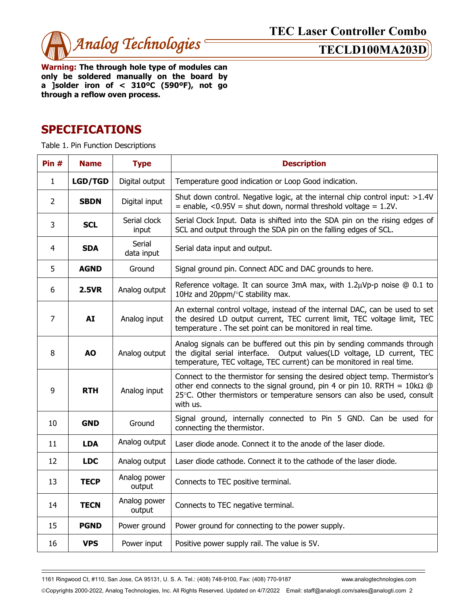

**Warning: The through hole type of modules can only be soldered manually on the board by a ]solder iron of < 310ºC (590ºF), not go through a reflow oven process.** 

## **SPECIFICATIONS**

Table 1. Pin Function Descriptions

| Pin $#$        | <b>Name</b>    | <b>Type</b>            | <b>Description</b>                                                                                                                                                                                                                                    |  |  |
|----------------|----------------|------------------------|-------------------------------------------------------------------------------------------------------------------------------------------------------------------------------------------------------------------------------------------------------|--|--|
| $\mathbf{1}$   | <b>LGD/TGD</b> | Digital output         | Temperature good indication or Loop Good indication.                                                                                                                                                                                                  |  |  |
| $\overline{2}$ | <b>SBDN</b>    | Digital input          | Shut down control. Negative logic, at the internal chip control input: >1.4V<br>$=$ enable, <0.95V = shut down, normal threshold voltage = 1.2V.                                                                                                      |  |  |
| 3              | <b>SCL</b>     | Serial clock<br>input  | Serial Clock Input. Data is shifted into the SDA pin on the rising edges of<br>SCL and output through the SDA pin on the falling edges of SCL.                                                                                                        |  |  |
| 4              | <b>SDA</b>     | Serial<br>data input   | Serial data input and output.                                                                                                                                                                                                                         |  |  |
| 5              | <b>AGND</b>    | Ground                 | Signal ground pin. Connect ADC and DAC grounds to here.                                                                                                                                                                                               |  |  |
| 6              | <b>2.5VR</b>   | Analog output          | Reference voltage. It can source 3mA max, with $1.2\mu Vp-p$ noise $@0.1$ to<br>10Hz and 20ppm/°C stability max.                                                                                                                                      |  |  |
| $\overline{7}$ | <b>AI</b>      | Analog input           | An external control voltage, instead of the internal DAC, can be used to set<br>the desired LD output current, TEC current limit, TEC voltage limit, TEC<br>temperature. The set point can be monitored in real time.                                 |  |  |
| 8              | <b>AO</b>      | Analog output          | Analog signals can be buffered out this pin by sending commands through<br>the digital serial interface. Output values(LD voltage, LD current, TEC<br>temperature, TEC voltage, TEC current) can be monitored in real time.                           |  |  |
| 9              | <b>RTH</b>     | Analog input           | Connect to the thermistor for sensing the desired object temp. Thermistor's<br>other end connects to the signal ground, pin 4 or pin 10. RRTH = $10k\Omega$ @<br>25°C. Other thermistors or temperature sensors can also be used, consult<br>with us. |  |  |
| 10             | <b>GND</b>     | Ground                 | Signal ground, internally connected to Pin 5 GND. Can be used for<br>connecting the thermistor.                                                                                                                                                       |  |  |
| 11             | <b>LDA</b>     | Analog output          | Laser diode anode. Connect it to the anode of the laser diode.                                                                                                                                                                                        |  |  |
| 12             | <b>LDC</b>     | Analog output          | Laser diode cathode. Connect it to the cathode of the laser diode.                                                                                                                                                                                    |  |  |
| 13             | <b>TECP</b>    | Analog power<br>output | Connects to TEC positive terminal.                                                                                                                                                                                                                    |  |  |
| 14             | <b>TECN</b>    | Analog power<br>output | Connects to TEC negative terminal.                                                                                                                                                                                                                    |  |  |
| 15             | <b>PGND</b>    | Power ground           | Power ground for connecting to the power supply.                                                                                                                                                                                                      |  |  |
| 16             | <b>VPS</b>     | Power input            | Positive power supply rail. The value is 5V.                                                                                                                                                                                                          |  |  |

1161 Ringwood Ct, #110, San Jose, CA 95131, U. S. A. Tel.: (408) 748-9100, Fax: (408) 770-9187 www.analogtechnologies.com

Copyrights 2000-2022, Analog Technologies, Inc. All Rights Reserved. Updated on 4/7/2022 Email: staff@analogti.com/sales@analogti.com 2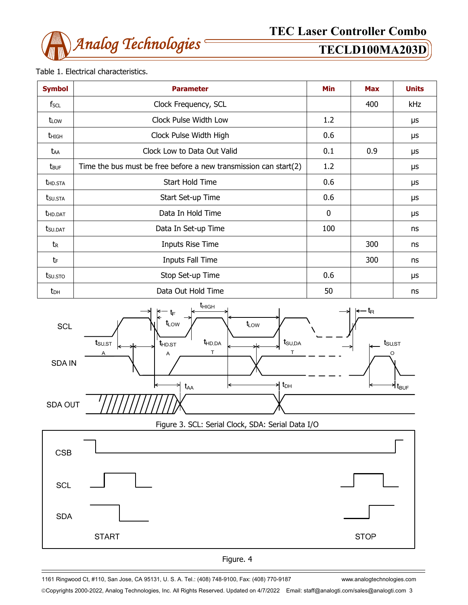

### Table 1. Electrical characteristics.

| <b>Symbol</b>           | <b>Parameter</b>                                                    | Min          | <b>Max</b> | <b>Units</b> |
|-------------------------|---------------------------------------------------------------------|--------------|------------|--------------|
| fscl                    | Clock Frequency, SCL                                                |              | 400        | kHz          |
| t <sub>LOW</sub>        | Clock Pulse Width Low                                               | 1.2          |            | μs           |
| <b>t</b> high           | Clock Pulse Width High                                              | 0.6          |            | μs           |
| taa                     | Clock Low to Data Out Valid                                         | 0.1          | 0.9        | μs           |
| <b>t</b> <sub>BUF</sub> | Time the bus must be free before a new transmission can start $(2)$ | 1.2          |            | μs           |
| <b>THD.STA</b>          | Start Hold Time                                                     | 0.6          |            | μs           |
| t <sub>su.Sta</sub>     | Start Set-up Time                                                   | 0.6          |            | μs           |
| <b>t</b> hd.dat         | Data In Hold Time                                                   | $\mathbf{0}$ |            | μs           |
| tsu.dat                 | Data In Set-up Time                                                 | 100          |            | ns           |
| tr                      | Inputs Rise Time                                                    |              | 300        | ns           |
| tF                      | Inputs Fall Time                                                    |              | 300        | ns           |
| tsu.sto                 | Stop Set-up Time                                                    | 0.6          |            | μs           |
| $t_{DH}$                | Data Out Hold Time                                                  | 50           |            | ns           |



Figure 3. SCL: Serial Clock, SDA: Serial Data I/O





1161 Ringwood Ct, #110, San Jose, CA 95131, U. S. A. Tel.: (408) 748-9100, Fax: (408) 770-9187 www.analogtechnologies.com

Copyrights 2000-2022, Analog Technologies, Inc. All Rights Reserved. Updated on 4/7/2022 Email: staff@analogti.com/sales@analogti.com 3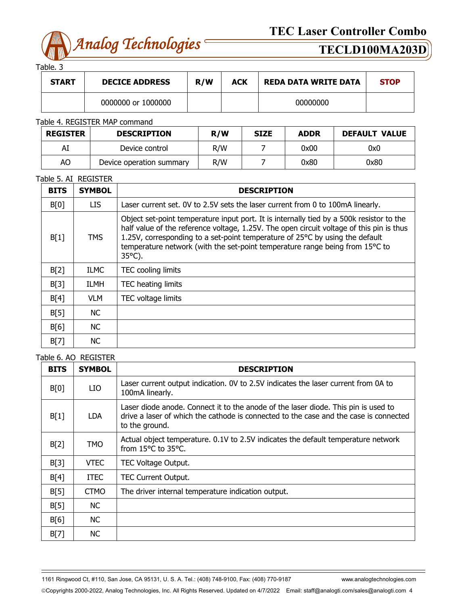

Table. 3

| <b>START</b> | <b>DECICE ADDRESS</b> | R/W | <b>ACK</b> | <b>REDA DATA WRITE DATA</b> | <b>STOP</b> |
|--------------|-----------------------|-----|------------|-----------------------------|-------------|
|              | 0000000 or 1000000    |     |            | 00000000                    |             |

### Table 4. REGISTER MAP command

| <b>REGISTER</b> | <b>DESCRIPTION</b>       | R/W | <b>SIZE</b> | <b>ADDR</b> | <b>DEFAULT VALUE</b> |
|-----------------|--------------------------|-----|-------------|-------------|----------------------|
| AI              | Device control           | R/W |             | 0x00        | 0x0                  |
| AO              | Device operation summary | R/W |             | 0x80        | 0x80                 |

### Table 5. AI REGISTER

| <b>BITS</b> | <b>SYMBOL</b> | <b>DESCRIPTION</b>                                                                                                                                                                                                                                                                                                                                                       |
|-------------|---------------|--------------------------------------------------------------------------------------------------------------------------------------------------------------------------------------------------------------------------------------------------------------------------------------------------------------------------------------------------------------------------|
| B[0]        | LIS.          | Laser current set. 0V to 2.5V sets the laser current from 0 to 100mA linearly.                                                                                                                                                                                                                                                                                           |
| B[1]        | <b>TMS</b>    | Object set-point temperature input port. It is internally tied by a 500k resistor to the<br>half value of the reference voltage, 1.25V. The open circuit voltage of this pin is thus<br>1.25V, corresponding to a set-point temperature of 25°C by using the default<br>temperature network (with the set-point temperature range being from 15°C to<br>$35^{\circ}$ C). |
| B[2]        | <b>ILMC</b>   | TEC cooling limits                                                                                                                                                                                                                                                                                                                                                       |
| B[3]        | <b>ILMH</b>   | TEC heating limits                                                                                                                                                                                                                                                                                                                                                       |
| B[4]        | VLM.          | TEC voltage limits                                                                                                                                                                                                                                                                                                                                                       |
| B[5]        | NC.           |                                                                                                                                                                                                                                                                                                                                                                          |
| B[6]        | NC.           |                                                                                                                                                                                                                                                                                                                                                                          |
| B[7]        | <b>NC</b>     |                                                                                                                                                                                                                                                                                                                                                                          |

### Table 6. AO REGISTER

| <b>BITS</b> | <b>SYMBOL</b> | <b>DESCRIPTION</b>                                                                                                                                                                            |
|-------------|---------------|-----------------------------------------------------------------------------------------------------------------------------------------------------------------------------------------------|
| B[0]        | LIO           | Laser current output indication. OV to 2.5V indicates the laser current from 0A to<br>100mA linearly.                                                                                         |
| B[1]        | LDA           | Laser diode anode. Connect it to the anode of the laser diode. This pin is used to<br>drive a laser of which the cathode is connected to the case and the case is connected<br>to the ground. |
| B[2]        | <b>TMO</b>    | Actual object temperature. 0.1V to 2.5V indicates the default temperature network<br>from 15°C to 35°C.                                                                                       |
| B[3]        | <b>VTEC</b>   | TEC Voltage Output.                                                                                                                                                                           |
| B[4]        | ITEC.         | <b>TEC Current Output.</b>                                                                                                                                                                    |
| B[5]        | <b>CTMO</b>   | The driver internal temperature indication output.                                                                                                                                            |
| B[5]        | <b>NC</b>     |                                                                                                                                                                                               |
| B[6]        | <b>NC</b>     |                                                                                                                                                                                               |
| B[7]        | <b>NC</b>     |                                                                                                                                                                                               |

1161 Ringwood Ct, #110, San Jose, CA 95131, U. S. A. Tel.: (408) 748-9100, Fax: (408) 770-9187 www.analogtechnologies.com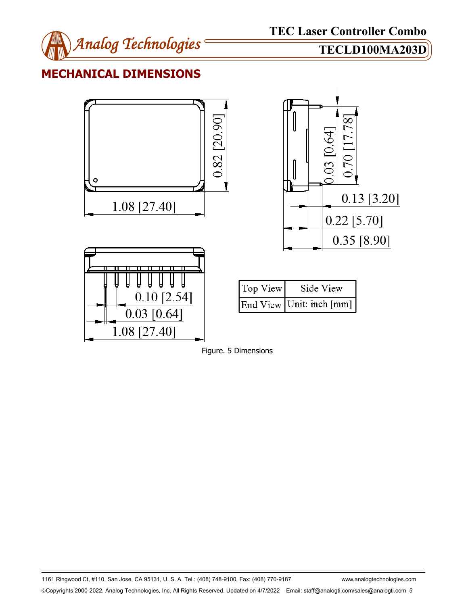

## **MECHANICAL DIMENSIONS**





1161 Ringwood Ct, #110, San Jose, CA 95131, U. S. A. Tel.: (408) 748-9100, Fax: (408) 770-9187 www.analogtechnologies.com Copyrights 2000-2022, Analog Technologies, Inc. All Rights Reserved. Updated on 4/7/2022 Email: staff@analogti.com/sales@analogti.com 5